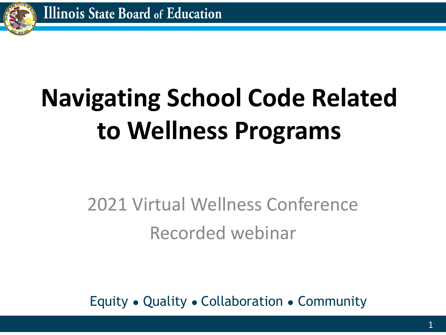

# **Navigating School Code Related to Wellness Programs**

## 2021 Virtual Wellness Conference Recorded webinar

Equity ● Quality ● Collaboration ● Community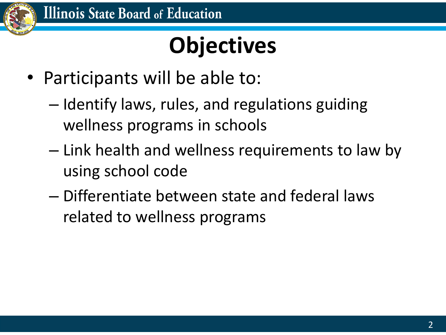

# **Objectives**

- Participants will be able to:
	- Identify laws, rules, and regulations guiding wellness programs in schools
	- Link health and wellness requirements to law by using school code
	- Differentiate between state and federal laws related to wellness programs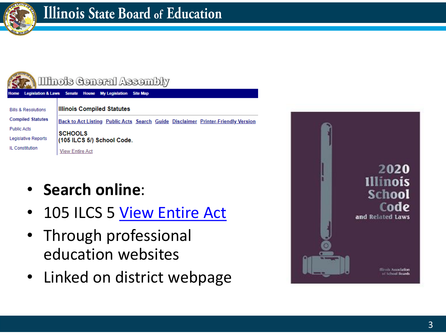

| Illinois Ceneral Assembly      |                                                                                  |
|--------------------------------|----------------------------------------------------------------------------------|
| Home                           | Legislation & Laws Senate House My Legislation<br><b>Site Map</b>                |
| <b>Bills &amp; Resolutions</b> | <b>Illinois Compiled Statutes</b>                                                |
| <b>Compiled Statutes</b>       | Back to Act Listing Public Acts Search Guide Disclaimer Printer-Friendly Version |
| <b>Public Acts</b>             | <b>SCHOOLS</b>                                                                   |
| <b>Legislative Reports</b>     | $(105$ ILCS $5/$ ) School Code.                                                  |
| IL Constitution                | <b>View Entire Act</b>                                                           |

- **Search online** :
- 105 ILCS 5 [View Entire Act](https://www.ilga.gov/legislation/ilcs/ilcs5.asp?ActID=1005&ChapterID=17)
- Through professional education websites
- Linked on district webpage

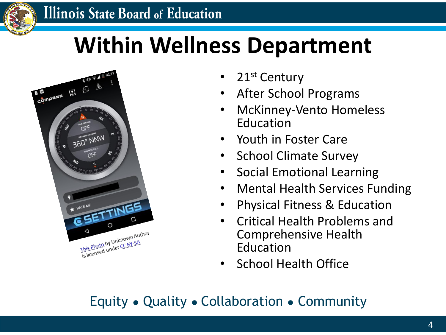

# **Within Wellness Department**



- 21<sup>st</sup> Century
- After School Programs
- McKinney-Vento Homeless Education
- Youth in Foster Care
- School Climate Survey
- Social Emotional Learning
- Mental Health Services Funding
- Physical Fitness & Education
- Critical Health Problems and Comprehensive Health Education
- School Health Office

### Equity ● Quality ● Collaboration ● Community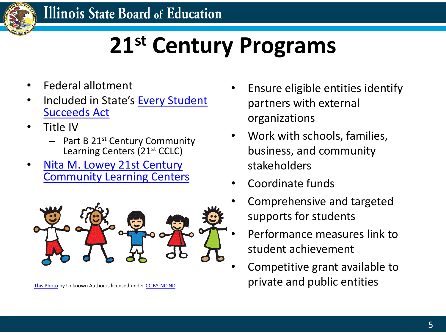

# **21st Century Programs**

- Federal allotment
- [Included in State's](https://www.isbe.net/Pages/ESSA-State-Plan.aspx) Every Student Succeeds Act
- Title IV
	- $-$  Part B 21<sup>st</sup> Century Community Learning Centers (21st CCLC)
- **Nita M. Lowey 21st Century** [Community Learning Centers](https://www.isbe.net/Pages/21st-Century-Community-Learning-Centers.aspx)



- Ensure eligible entities identify partners with external organizations
- Work with schools, families, business, and community stakeholders
- Coordinate funds
- Comprehensive and targeted supports for students
- Performance measures link to student achievement
- Competitive grant available to [This Photo](https://edtechpower.blogspot.com/2013/05/5-things-learners-today-should-be-doing.html) by Unknown Author is licensed under [CC BY-NC-ND](https://creativecommons.org/licenses/by-nc-nd/3.0/) **private and public entities**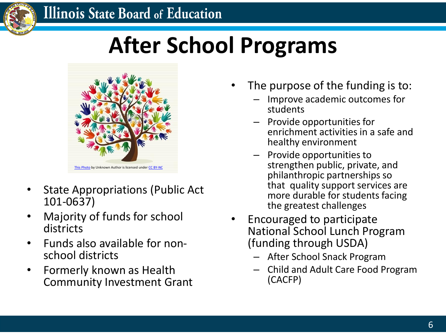### **Illinois State Board of Education**



# **After School Programs**



- State Appropriations (Public Act 101-0637)
- Majority of funds for school districts
- Funds also available for nonschool districts
- Formerly known as Health Community Investment Grant
- The purpose of the funding is to:
	- Improve academic outcomes for students
	- Provide opportunities for enrichment activities in a safe and healthy environment
	- Provide opportunities to strengthen public, private, and philanthropic partnerships so that quality support services are more durable for students facing the greatest challenges
- Encouraged to participate National School Lunch Program (funding through USDA)
	- After School Snack Program
	- Child and Adult Care Food Program (CACFP)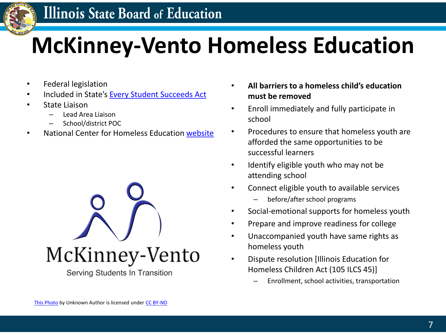

# **McKinney-Vento Homeless Education**

- Federal legislation
- Included in State's [Every Student Succeeds Act](https://www.isbe.net/Pages/ESSA-State-Plan.aspx)
- State Liaison
	- Lead Area Liaison
	- School/district POC
- National Center for Homeless Education [website](http://nche.ed.gov/ibt/sc_eligibility.php)



- **All barriers to a homeless child's education must be removed**
- Enroll immediately and fully participate in school
- Procedures to ensure that homeless youth are afforded the same opportunities to be successful learners
- Identify eligible youth who may not be attending school
- Connect eligible youth to available services
	- before/after school programs
- Social-emotional supports for homeless youth
- Prepare and improve readiness for college
- Unaccompanied youth have same rights as homeless youth
- Dispute resolution [Illinois Education for Homeless Children Act (105 ILCS 45)]
	- Enrollment, school activities, transportation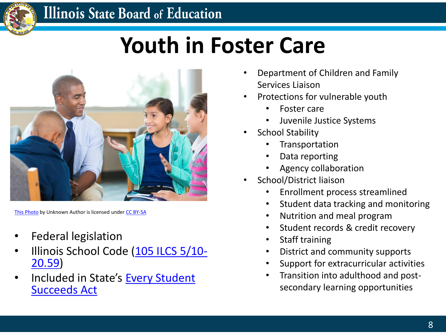

### **Illinois State Board of Education**

# **Youth in Foster Care**



[This Photo](https://effectivechildtherapy.org/therapies/what-is-interpersonal-psychotherapy/elementary-age-kids-talking-to-counselor-during-group-therapy-session/) by Unknown Author is licensed under [CC BY-SA](https://creativecommons.org/licenses/by-sa/3.0/)

- Federal legislation
- [Illinois School Code \(105 ILCS 5/10-](https://www.ilga.gov/legislation/ilcs/fulltext.asp?DocName=010500050K10-20.59) 20.59)
- [Included in State's](https://www.isbe.net/Pages/ESSA-State-Plan.aspx) Every Student Succeeds Act
- Department of Children and Family Services Liaison
- Protections for vulnerable youth
	- Foster care
	- Juvenile Justice Systems
- School Stability
	- **Transportation**
	- Data reporting
	- Agency collaboration
- School/District liaison
	- Enrollment process streamlined
	- Student data tracking and monitoring
	- Nutrition and meal program
	- Student records & credit recovery
	- Staff training
	- District and community supports
	- Support for extracurricular activities
	- Transition into adulthood and postsecondary learning opportunities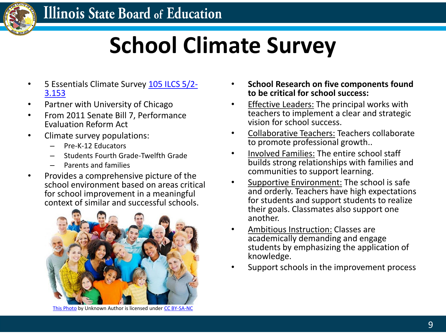

# **School Climate Survey**

- [5 Essentials Climate Survey 105 ILCS 5/2-](https://www.ilga.gov/legislation/ilcs/documents/010500050K2-3.153.htm) 3.153
- Partner with University of Chicago
- From 2011 Senate Bill 7, Performance Evaluation Reform Act
- Climate survey populations:
	- Pre-K-12 Educators
	- Students Fourth Grade-Twelfth Grade
	- Parents and families
- Provides a comprehensive picture of the school environment based on areas critical for school improvement in a meaningful context of similar and successful schools.



[This Photo](http://www.tonybates.ca/2014/08/22/key-characteristics-of-learners-in-a-digital-age-and-their-influence-on-the-design-of-teaching-and-learning/) by Unknown Author is licensed under [CC BY-SA-NC](https://creativecommons.org/licenses/by-nc-sa/3.0/)

- **School Research on five components found to be critical for school success:**
- Effective Leaders: The principal works with teachers to implement a clear and strategic vision for school success.
- Collaborative Teachers: Teachers collaborate to promote professional growth..
- Involved Families: The entire school staff builds strong relationships with families and communities to support learning.
- Supportive Environment: The school is safe and orderly. Teachers have high expectations for students and support students to realize their goals. Classmates also support one another.
- Ambitious Instruction: Classes are academically demanding and engage students by emphasizing the application of knowledge.
- Support schools in the improvement process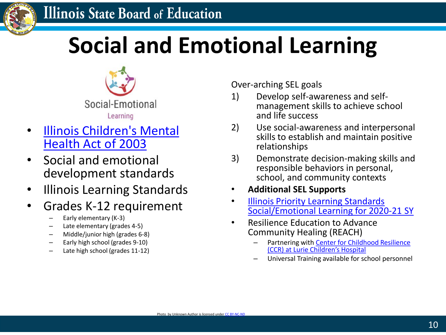

# **Social and Emotional Learning**



- [Illinois Children's Mental](http://www.ilga.gov/legislation/93/sb/09300sb1951enr.htm) Health Act of 2003
- Social and emotional development standards
- Illinois Learning Standards
- Grades K-12 requirement
	- Early elementary (K-3)
	- Late elementary (grades 4-5)
	- Middle/junior high (grades 6-8)
	- Early high school (grades 9-10)
	- Late high school (grades 11-12)

Over-arching SEL goals

- 1) Develop self-awareness and selfmanagement skills to achieve school and life success
- 2) Use social-awareness and interpersonal skills to establish and maintain positive relationships
- 3) Demonstrate decision-making skills and responsible behaviors in personal, school, and community contexts

### • **Additional SEL Supports**

- Illinois Priority Learning Standards [Social/Emotional Learning for 2020-21 SY](https://www.isbe.net/Documents/Illinois-Priority-Learning-Standards-2020-21.pdf#page=6)
- Resilience Education to Advance Community Healing (REACH)
	- Partnering with Center for Childhood Resilience (CCR) at Lurie Children's Hospital
	- Universal Training available for school personnel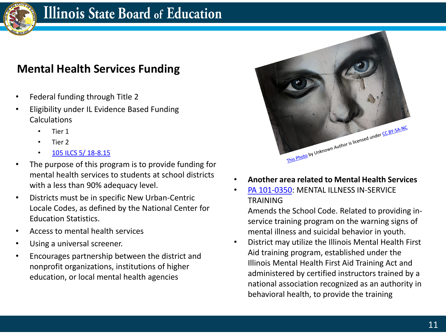

### **Illinois State Board of Education**

### **Mental Health Services Funding**

- Federal funding through Title 2
- Eligibility under IL Evidence Based Funding Calculations
	- Tier 1
	- Tier 2
	- [105 ILCS 5/ 18-8.15](https://www.ilga.gov/legislation/ilcs/fulltext.asp?DocName=010500050K18-8.15#:~:text=18%2D8.15.,2018%20and%20subsequent%20school%20years.&text=under%20this%20Section%20may%20apply,to%20make%20expenditures%20by%20law.)
- The purpose of this program is to provide funding for mental health services to students at school districts with a less than 90% adequacy level.
- Districts must be in specific New Urban-Centric Locale Codes, as defined by the National Center for Education Statistics.
- Access to mental health services
- Using a universal screener.
- Encourages partnership between the district and nonprofit organizations, institutions of higher education, or local mental health agencies



- **Another area related to Mental Health Services**
- [PA 101-0350:](https://www.ilga.gov/legislation/publicacts/101/101-0350.htm) MENTAL ILLNESS IN-SERVICE **TRAINING**

Amends the School Code. Related to providing inservice training program on the warning signs of mental illness and suicidal behavior in youth.

• District may utilize the Illinois Mental Health First Aid training program, established under the Illinois Mental Health First Aid Training Act and administered by certified instructors trained by a national association recognized as an authority in behavioral health, to provide the training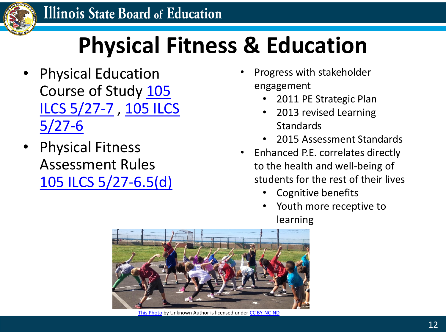

# **Physical Fitness & Education**

- Physical Education [Course of Study 105](https://www.ilga.gov/legislation/ilcs/fulltext.asp?DocName=010500050K27-7)  [ILCS 5/27-7](https://www.ilga.gov/legislation/ilcs/fulltext.asp?DocName=010500050K27-6) , 105 ILCS  $5/27-6$
- Physical Fitness Assessment Rules [105 ILCS 5/27-6.5\(d\)](https://ilga.gov/legislation/ilcs/fulltext.asp?DocName=010500050K27-6.5)
- Progress with stakeholder engagement
	- 2011 PE Strategic Plan
	- 2013 revised Learning **Standards**
	- 2015 Assessment Standards
- Enhanced P.E. correlates directly to the health and well-being of students for the rest of their lives
	- Cognitive benefits
	- Youth more receptive to learning



[This Photo](https://gsouto-digitalteacher.blogspot.com/2018/02/schools-lets-talk-world-cancer-day.html) by Unknown Author is licensed under [CC BY-NC-ND](https://creativecommons.org/licenses/by-nc-nd/3.0/)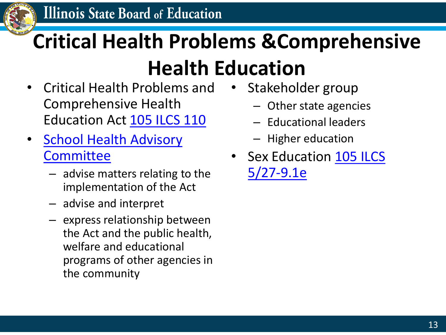

# **Critical Health Problems &Comprehensive**

## **Health Education**

- Critical Health Problems and Comprehensive Health Education Act [105 ILCS 110](https://www.ilga.gov/legislation/ilcs/ilcs3.asp?ActID=1015&ChapterID=17)
- [School Health Advisory](https://www.isbe.net/Pages/School-Health-Advisory-Committee.aspx) **Committee** 
	- advise matters relating to the implementation of the Act
	- advise and interpret
	- express relationship between the Act and the public health, welfare and educational programs of other agencies in the community
- Stakeholder group
	- Other state agencies
	- Educational leaders
	- Higher education
- [Sex Education 105 ILCS](https://www.ilga.gov/legislation/ilcs/fulltext.asp?DocName=010500050K27-9.1#:~:text=pupils%20to%20not%20make%20unwanted,or%20to%20exploit%20another%20person.) 5/27-9.1e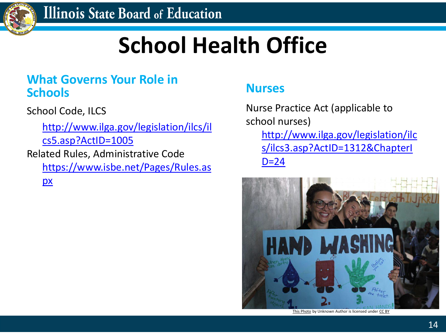

# **School Health Office**

### **What Governs Your Role in <b>Nurses**<br> **Nurses Schools**

School Code, ILCS

[http://www.ilga.gov/legislation/ilcs/il](http://www.ilga.gov/legislation/ilcs/ilcs5.asp?ActID=1005) cs5.asp?ActID=1005 Related Rules, Administrative Code

[https://www.isbe.net/Pages/Rules.as](https://www.isbe.net/Pages/Rules.aspx) px

Nurse Practice Act (applicable to school nurses) http://www.ilga.gov/legislation/ilc [s/ilcs3.asp?ActID=1312&ChapterI](http://www.ilga.gov/legislation/ilcs/ilcs3.asp?ActID=1312&ChapterID=24)  $D = 24$ 



[This Photo](https://globalvoices.org/2020/04/08/covid-19-on-the-frontline-insights-from-an-australian-humanitarian-nurse/) by Unknown Author is licensed under [CC BY](https://creativecommons.org/licenses/by/3.0/)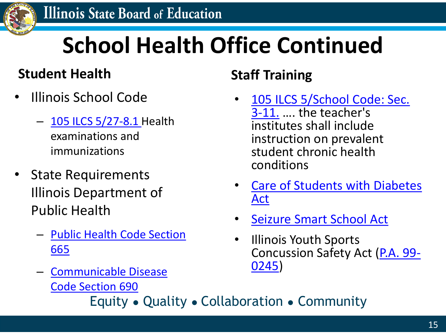

# **School Health Office Continued**

### **Student Health Staff Training**

- Illinois School Code
	- [105 ILCS 5/27-8.1](https://www.ilga.gov/legislation/ilcs/documents/010500050K27-8.1.htm) Health examinations and immunizations
- State Requirements Illinois Department of Public Health
	- [Public Health Code Section](https://www.ilga.gov/commission/jcar/admincode/077/07700665sections.html) 665
	- [Communicable Disease](https://www.ilga.gov/commission/jcar/admincode/077/077006900C02000R.html) Code Section 690

- [105 ILCS 5/School Code: Sec.](https://www.ilga.gov/legislation/ilcs/ilcs4.asp?DocName=010500050HArt.+5&ActID=1005&ChapAct=105%C2%A0ILCS%C2%A0%2F&ChapterID=17&ChapterName=SCHOOLS&SectionID=48800&SeqStart=39200000&SeqEnd=42500000&ActName=)  3-11. …. the teacher's institutes shall include instruction on prevalent student chronic health conditions
- [Care of Students with Diabetes](https://www.ilga.gov/legislation/ilcs/ilcs3.asp?ActID=3284&ChapterID=17&Print=True) Act
- [Seizure Smart School Act](https://ilga.gov/legislation/ilcs/ilcs3.asp?ActID=4002&ChapterID=17)
- Illinois Youth Sports [Concussion Safety Act \(P.A. 99-](https://www.ilga.gov/legislation/publicacts/fulltext.asp?Name=099-0245) 0245)

Equity ● Quality ● Collaboration ● Community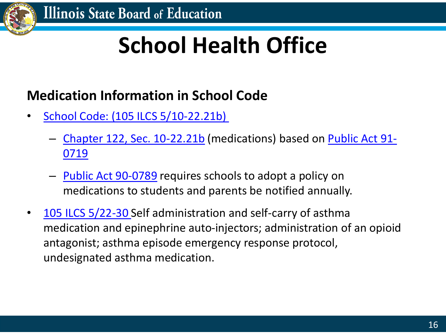

# **School Health Office**

### **Medication Information in School Code**

- [School Code: \(105 ILCS 5/10-22.21b\)](http://www.ilga.gov/legislation/ilcs/documents/010500050K10-22.21b.htm)
	- [Chapter 122, Sec. 10-22.21b](https://www.ilga.gov/legislation/ilcs/fulltext.asp?DocName=010500050K10-22.21b) [\(medications\) based on Public Act 91-](https://www.ilga.gov/legislation/publicacts/pubact91/acts/91-0719.html) 0719
	- [Public Act 90-0789](https://www.ilga.gov/legislation/publicacts/pubact90/acts/90-0789.html) requires schools to adopt a policy on medications to students and parents be notified annually.
- [105 ILCS 5/22-30 S](https://www.ilga.gov/legislation/ilcs/documents/010500050K22-30.htm)elf administration and self-carry of asthma medication and epinephrine auto-injectors; administration of an opioid antagonist; asthma episode emergency response protocol, undesignated asthma medication.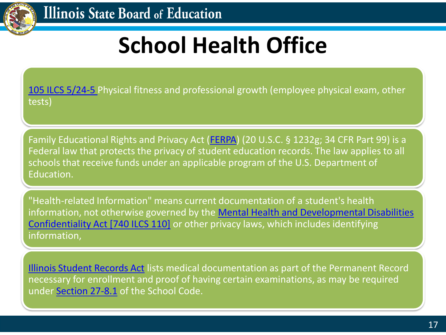

# **School Health Office**

[105 ILCS 5/24-5 P](https://www.ilga.gov/legislation/ilcs/documents/010500050K24-5.htm)hysical fitness and professional growth (employee physical exam, other tests)

Family Educational Rights and Privacy Act ([FERPA\)](https://www2.ed.gov/policy/gen/guid/fpco/ferpa/index.html) (20 U.S.C. § 1232g; 34 CFR Part 99) is a Federal law that protects the privacy of student education records. The law applies to all schools that receive funds under an applicable program of the U.S. Department of Education.

"Health-related Information" means current documentation of a student's health information, not otherwise governed by the **Mental Health and Developmental Disabilities** Confidentiality Act [740 ILCS 110] or other privacy laws, which includes identifying information,

[Illinois Student Records Act](https://www.ilga.gov/legislation/ilcs/ilcs3.asp?ActID=1006&ChapterID=17) lists medical documentation as part of the Permanent Record necessary for enrollment and proof of having certain examinations, as may be required under **Section 27-8.1** of the School Code.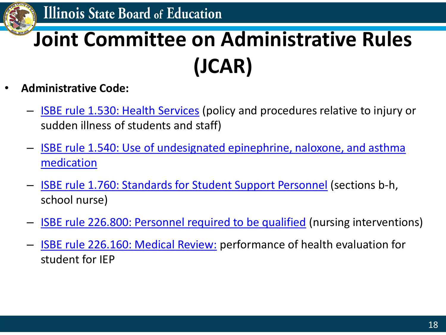

# **Joint Committee on Administrative Rules (JCAR)**

- **Administrative Code:**
	- **[ISBE rule 1.530: Health Services](https://www.ilga.gov/commission/Jcar/admincode/023/023000010E05300R.html)** (policy and procedures relative to injury or sudden illness of students and staff)
	- [ISBE rule 1.540: Use of undesignated epinephrine, naloxone, and asthma](https://www.isbe.net/Documents/ONEARK.pdf) medication
	- [ISBE rule 1.760: Standards for Student Support Personnel](https://www.ilga.gov/commission/Jcar/admincode/023/023000010G07600R.html) (sections b-h, school nurse)
	- **[ISBE rule 226.800: Personnel required to be qualified](https://www.ilga.gov/commission/jcar/admincode/023/023002260i08000r.html#:~:text=1)%20Each%20school%20district%2C%20or,eligible%20students%20who%20reside%20in)** (nursing interventions)
	- **[ISBE rule 226.160: Medical Review:](https://ilga.gov/commission/jcar/admincode/023/023002260B01600R.html) performance of health evaluation for** student for IEP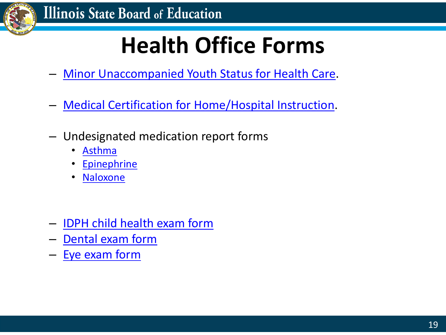

# **Health Office Forms**

- **[Minor Unaccompanied Youth Status for Health Care.](https://www.isbe.net/Documents/83-04T-MKV-cert-minor-health-form.pdf#search=Minor%20unaccompanied%20Youth%20for%20health%20care%20form)**
- [Medical Certification for Home/Hospital Instruction](https://www.isbe.net/Documents/Medical-certification-home-hospital-instruction.pdf).
- Undesignated medication report forms
	- [Asthma](https://www.isbe.net/Documents/34-22-undesignated-asthma-medication-rptg.pdf)
	- [Epinephrine](https://www.isbe.net/Documents/34-20-undesignated-epinephrine-rptg.pdf#search=undesignated%20reporting%20form)
	- [Naloxone](https://www.isbe.net/Documents/34-20A-opioid-rptg.pdf)
- [IDPH child health exam form](https://www.dph.illinois.gov/sites/default/files/forms/certificate-ofchild-health-examination-03032017.pdf)
- [Dental exam form](http://dph.illinois.gov/sites/default/files/forms/dentalexamform20191022.pdf)
- [Eye exam form](http://www.idph.state.il.us/HealthWellness/EyeExamReport.pdf)